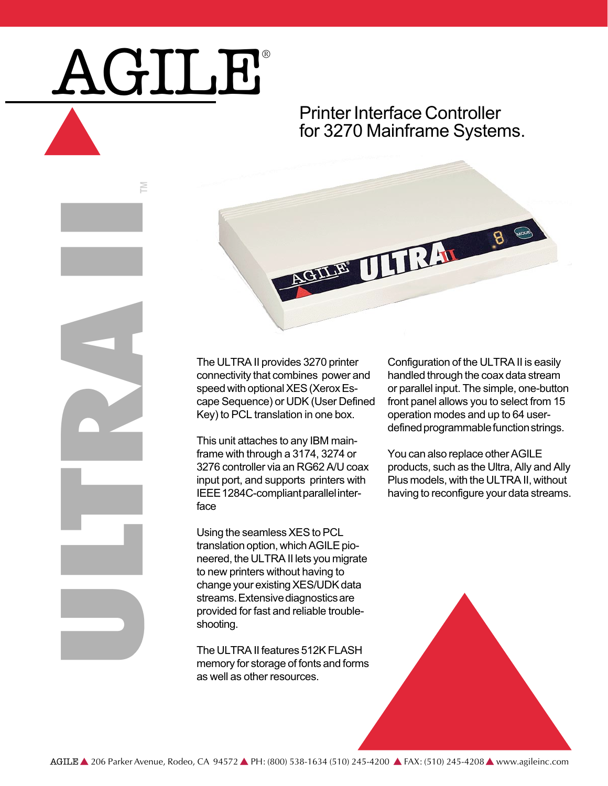## AGILE®

M

ULTRA IN

## Printer Interface Controller for 3270 Mainframe Systems.



The ULTRA II provides 3270 printer connectivity that combines power and speed with optional XES (Xerox Escape Sequence) or UDK (User Defined Key) to PCL translation in one box.

This unit attaches to any IBM mainframe with through a 3174, 3274 or 3276 controller via an RG62 A/U coax input port, and supports printers with IEEE 1284C-compliant parallel interface

Using the seamless XES to PCL translation option, which AGILE pioneered, the ULTRA II lets you migrate to new printers without having to change your existing XES/UDK data streams. Extensive diagnostics are provided for fast and reliable troubleshooting.

The ULTRA II features 512K FLASH memory for storage of fonts and forms as well as other resources.

Configuration of the ULTRA II is easily handled through the coax data stream or parallel input. The simple, one-button front panel allows you to select from 15 operation modes and up to 64 userdefined programmable function strings.

You can also replace other AGILE products, such as the Ultra, Ally and Ally Plus models, with the ULTRA II, without having to reconfigure your data streams.